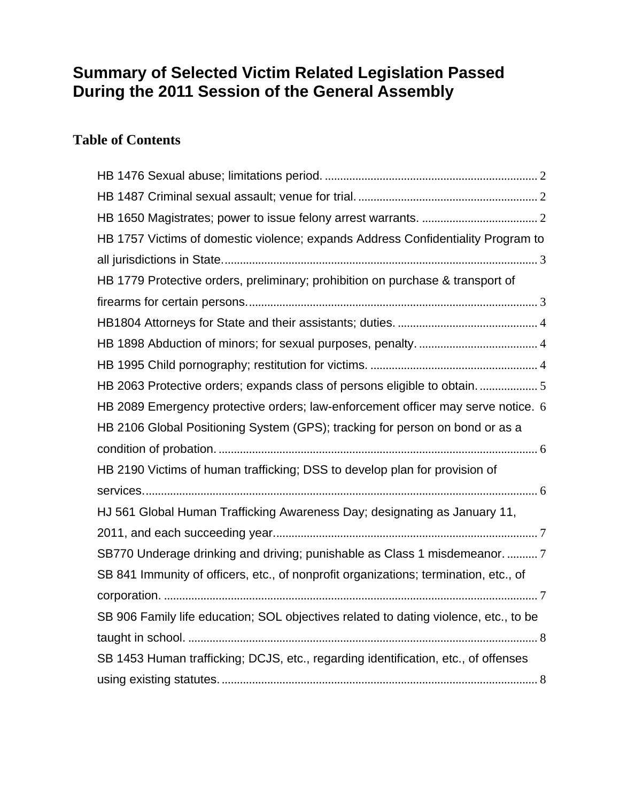# **Summary of Selected Victim Related Legislation Passed During the 2011 Session of the General Assembly**

# **Table of Contents**

| HB 1757 Victims of domestic violence; expands Address Confidentiality Program to     |
|--------------------------------------------------------------------------------------|
|                                                                                      |
| HB 1779 Protective orders, preliminary; prohibition on purchase & transport of       |
|                                                                                      |
|                                                                                      |
|                                                                                      |
|                                                                                      |
| HB 2063 Protective orders; expands class of persons eligible to obtain.              |
| HB 2089 Emergency protective orders; law-enforcement officer may serve notice. 6     |
| HB 2106 Global Positioning System (GPS); tracking for person on bond or as a         |
|                                                                                      |
| HB 2190 Victims of human trafficking; DSS to develop plan for provision of           |
|                                                                                      |
| HJ 561 Global Human Trafficking Awareness Day; designating as January 11,            |
|                                                                                      |
| SB770 Underage drinking and driving; punishable as Class 1 misdemeanor.  7           |
| SB 841 Immunity of officers, etc., of nonprofit organizations; termination, etc., of |
|                                                                                      |
| SB 906 Family life education; SOL objectives related to dating violence, etc., to be |
|                                                                                      |
| SB 1453 Human trafficking; DCJS, etc., regarding identification, etc., of offenses   |
|                                                                                      |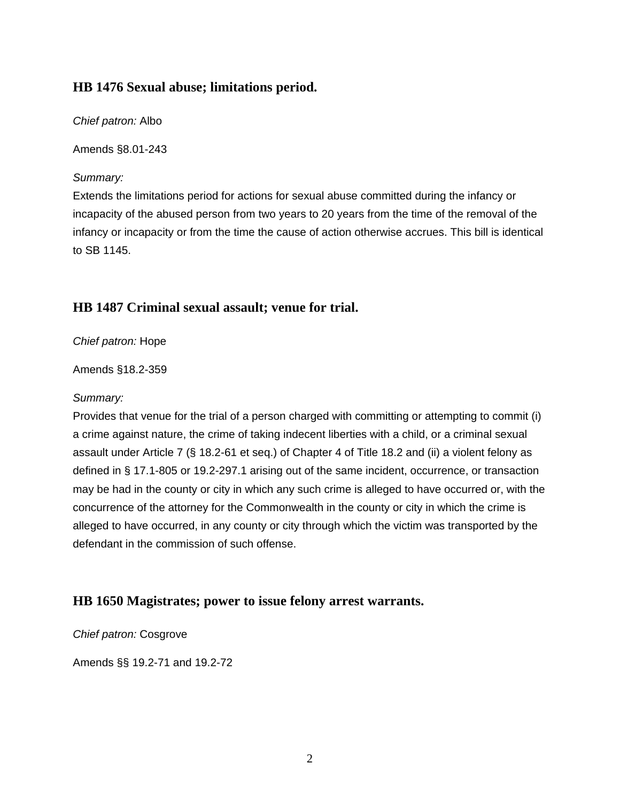### <span id="page-1-0"></span>**[HB 1476](http://lis.virginia.gov/cgi-bin/legp604.exe?111+sum+HB1476) Sexual abuse; limitations period.**

*Chief patron:* Albo

Amends §8.01-243

### *Summary:*

Extends the limitations period for actions for sexual abuse committed during the infancy or incapacity of the abused person from two years to 20 years from the time of the removal of the infancy or incapacity or from the time the cause of action otherwise accrues. This bill is identical to SB 1145.

# **[HB 1487](http://lis.virginia.gov/cgi-bin/legp604.exe?111+sum+HB1487) Criminal sexual assault; venue for trial.**

*Chief patron:* Hope

Amends §18.2-359

#### *Summary:*

Provides that venue for the trial of a person charged with committing or attempting to commit (i) a crime against nature, the crime of taking indecent liberties with a child, or a criminal sexual assault under Article 7 (§ 18.2-61 et seq.) of Chapter 4 of Title 18.2 and (ii) a violent felony as defined in § 17.1-805 or 19.2-297.1 arising out of the same incident, occurrence, or transaction may be had in the county or city in which any such crime is alleged to have occurred or, with the concurrence of the attorney for the Commonwealth in the county or city in which the crime is alleged to have occurred, in any county or city through which the victim was transported by the defendant in the commission of such offense.

# **[HB 1650](http://lis.virginia.gov/cgi-bin/legp604.exe?111+sum+HB1650) Magistrates; power to issue felony arrest warrants.**

*Chief patron:* Cosgrove

Amends §§ 19.2-71 and 19.2-72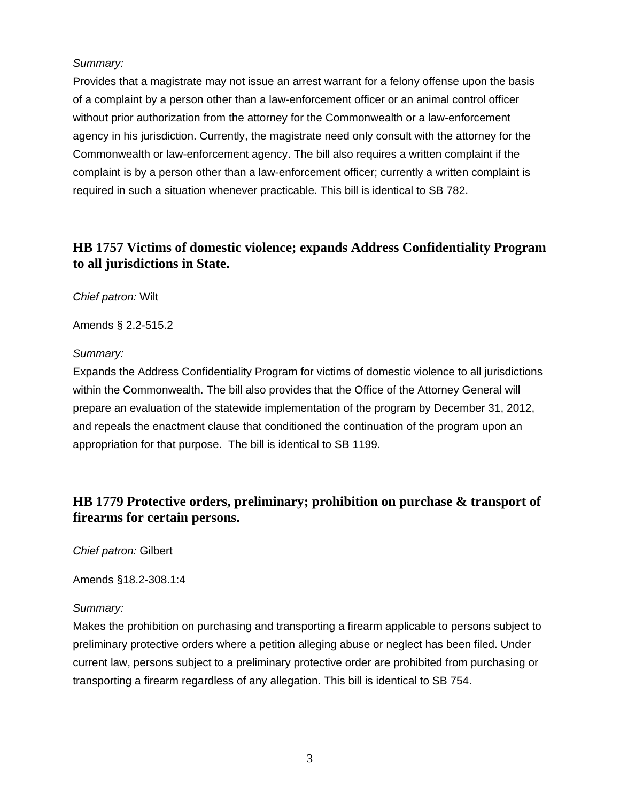#### <span id="page-2-0"></span>*Summary:*

Provides that a magistrate may not issue an arrest warrant for a felony offense upon the basis of a complaint by a person other than a law-enforcement officer or an animal control officer without prior authorization from the attorney for the Commonwealth or a law-enforcement agency in his jurisdiction. Currently, the magistrate need only consult with the attorney for the Commonwealth or law-enforcement agency. The bill also requires a written complaint if the complaint is by a person other than a law-enforcement officer; currently a written complaint is required in such a situation whenever practicable. This bill is identical to SB 782.

### **[HB 1757](http://lis.virginia.gov/cgi-bin/legp604.exe?111+sum+HB1757) Victims of domestic violence; expands Address Confidentiality Program to all jurisdictions in State.**

*Chief patron:* Wilt

Amends § 2.2-515.2

#### *Summary:*

Expands the Address Confidentiality Program for victims of domestic violence to all jurisdictions within the Commonwealth. The bill also provides that the Office of the Attorney General will prepare an evaluation of the statewide implementation of the program by December 31, 2012, and repeals the enactment clause that conditioned the continuation of the program upon an appropriation for that purpose. The bill is identical to SB 1199.

### **[HB 1779](http://lis.virginia.gov/cgi-bin/legp604.exe?111+sum+HB1779) Protective orders, preliminary; prohibition on purchase & transport of firearms for certain persons.**

*Chief patron:* Gilbert

Amends §18.2-308.1:4

#### *Summary:*

Makes the prohibition on purchasing and transporting a firearm applicable to persons subject to preliminary protective orders where a petition alleging abuse or neglect has been filed. Under current law, persons subject to a preliminary protective order are prohibited from purchasing or transporting a firearm regardless of any allegation. This bill is identical to SB 754.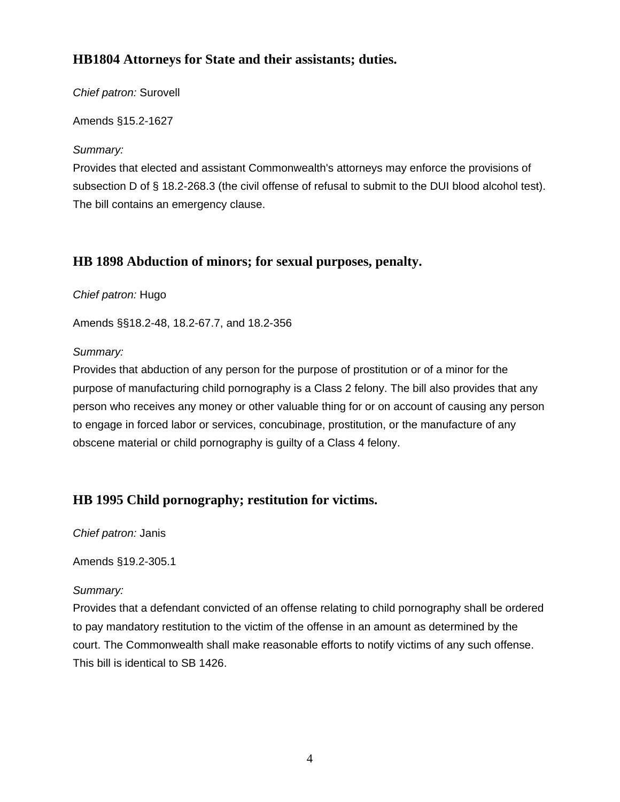# <span id="page-3-0"></span>**HB1804 Attorneys for State and their assistants; duties.**

#### *Chief patron:* Surovell

Amends §15.2-1627

*Summary:*

Provides that elected and assistant Commonwealth's attorneys may enforce the provisions of subsection D of § 18.2-268.3 (the civil offense of refusal to submit to the DUI blood alcohol test). The bill contains an emergency clause.

# **[HB 1898](http://lis.virginia.gov/cgi-bin/legp604.exe?111+sum+HB1898) Abduction of minors; for sexual purposes, penalty.**

*Chief patron:* Hugo

Amends §§18.2-48, 18.2-67.7, and 18.2-356

#### *Summary:*

Provides that abduction of any person for the purpose of prostitution or of a minor for the purpose of manufacturing child pornography is a Class 2 felony. The bill also provides that any person who receives any money or other valuable thing for or on account of causing any person to engage in forced labor or services, concubinage, prostitution, or the manufacture of any obscene material or child pornography is guilty of a Class 4 felony.

# **[HB 1995](http://lis.virginia.gov/cgi-bin/legp604.exe?111+sum+HB1995) Child pornography; restitution for victims.**

*Chief patron:* Janis

Amends §19.2-305.1

### *Summary:*

Provides that a defendant convicted of an offense relating to child pornography shall be ordered to pay mandatory restitution to the victim of the offense in an amount as determined by the court. The Commonwealth shall make reasonable efforts to notify victims of any such offense. This bill is identical to SB 1426.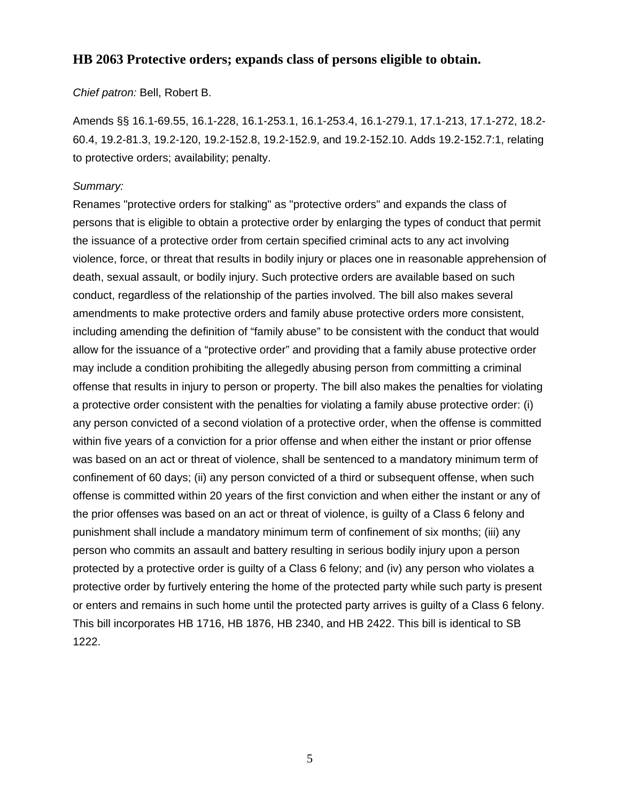### <span id="page-4-0"></span>**[HB 2063](http://lis.virginia.gov/cgi-bin/legp604.exe?111+sum+HB2063) Protective orders; expands class of persons eligible to obtain.**

#### *Chief patron:* Bell, Robert B.

Amends §§ 16.1-69.55, 16.1-228, 16.1-253.1, 16.1-253.4, 16.1-279.1, 17.1-213, 17.1-272, 18.2- 60.4, 19.2-81.3, 19.2-120, 19.2-152.8, 19.2-152.9, and 19.2-152.10. Adds 19.2-152.7:1, relating to protective orders; availability; penalty.

#### *Summary:*

Renames "protective orders for stalking" as "protective orders" and expands the class of persons that is eligible to obtain a protective order by enlarging the types of conduct that permit the issuance of a protective order from certain specified criminal acts to any act involving violence, force, or threat that results in bodily injury or places one in reasonable apprehension of death, sexual assault, or bodily injury. Such protective orders are available based on such conduct, regardless of the relationship of the parties involved. The bill also makes several amendments to make protective orders and family abuse protective orders more consistent, including amending the definition of "family abuse" to be consistent with the conduct that would allow for the issuance of a "protective order" and providing that a family abuse protective order may include a condition prohibiting the allegedly abusing person from committing a criminal offense that results in injury to person or property. The bill also makes the penalties for violating a protective order consistent with the penalties for violating a family abuse protective order: (i) any person convicted of a second violation of a protective order, when the offense is committed within five years of a conviction for a prior offense and when either the instant or prior offense was based on an act or threat of violence, shall be sentenced to a mandatory minimum term of confinement of 60 days; (ii) any person convicted of a third or subsequent offense, when such offense is committed within 20 years of the first conviction and when either the instant or any of the prior offenses was based on an act or threat of violence, is guilty of a Class 6 felony and punishment shall include a mandatory minimum term of confinement of six months; (iii) any person who commits an assault and battery resulting in serious bodily injury upon a person protected by a protective order is guilty of a Class 6 felony; and (iv) any person who violates a protective order by furtively entering the home of the protected party while such party is present or enters and remains in such home until the protected party arrives is guilty of a Class 6 felony. This bill incorporates HB 1716, HB 1876, HB 2340, and HB 2422. This bill is identical to SB 1222.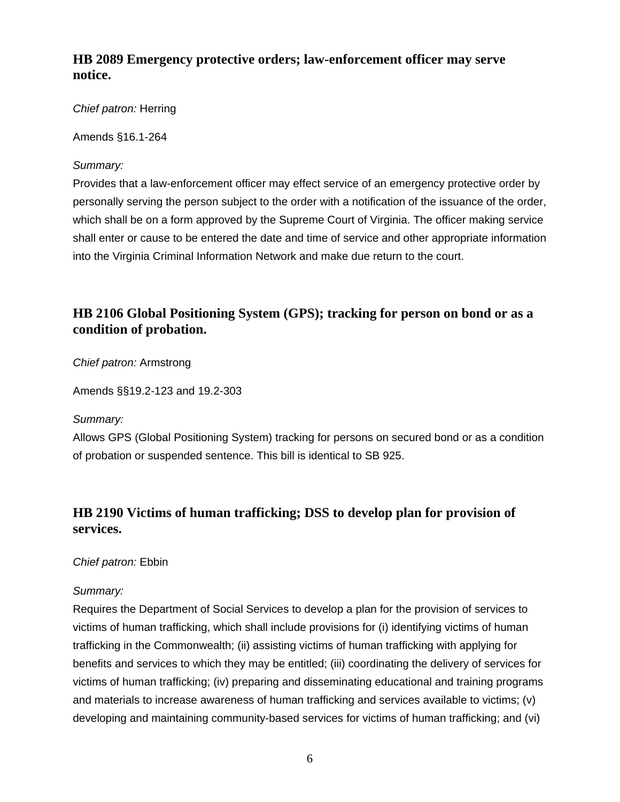### <span id="page-5-0"></span>**[HB 2089](http://lis.virginia.gov/cgi-bin/legp604.exe?111+sum+HB2089) Emergency protective orders; law-enforcement officer may serve notice.**

### *Chief patron:* Herring

Amends §16.1-264

### *Summary:*

Provides that a law-enforcement officer may effect service of an emergency protective order by personally serving the person subject to the order with a notification of the issuance of the order, which shall be on a form approved by the Supreme Court of Virginia. The officer making service shall enter or cause to be entered the date and time of service and other appropriate information into the Virginia Criminal Information Network and make due return to the court.

# **[HB 2106](http://lis.virginia.gov/cgi-bin/legp604.exe?111+sum+HB2106) Global Positioning System (GPS); tracking for person on bond or as a condition of probation.**

*Chief patron:* Armstrong

Amends §§19.2-123 and 19.2-303

### *Summary:*

Allows GPS (Global Positioning System) tracking for persons on secured bond or as a condition of probation or suspended sentence. This bill is identical to SB 925.

# **[HB 2190](http://lis.virginia.gov/cgi-bin/legp604.exe?111+sum+HB2190) Victims of human trafficking; DSS to develop plan for provision of services.**

### *Chief patron:* Ebbin

### *Summary:*

Requires the Department of Social Services to develop a plan for the provision of services to victims of human trafficking, which shall include provisions for (i) identifying victims of human trafficking in the Commonwealth; (ii) assisting victims of human trafficking with applying for benefits and services to which they may be entitled; (iii) coordinating the delivery of services for victims of human trafficking; (iv) preparing and disseminating educational and training programs and materials to increase awareness of human trafficking and services available to victims; (v) developing and maintaining community-based services for victims of human trafficking; and (vi)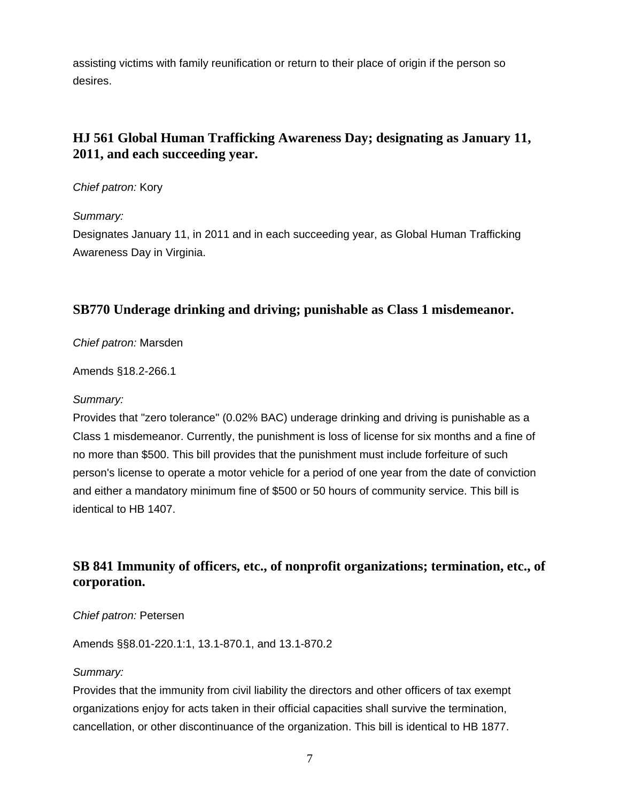<span id="page-6-0"></span>assisting victims with family reunification or return to their place of origin if the person so desires.

# **[HJ 561](http://lis.virginia.gov/cgi-bin/legp604.exe?111+sum+HJ561) Global Human Trafficking Awareness Day; designating as January 11, 2011, and each succeeding year.**

#### *Chief patron:* Kory

*Summary:*

Designates January 11, in 2011 and in each succeeding year, as Global Human Trafficking Awareness Day in Virginia.

### **SB770 Underage drinking and driving; punishable as Class 1 misdemeanor.**

#### *Chief patron:* Marsden

Amends §18.2-266.1

#### *Summary:*

Provides that "zero tolerance" (0.02% BAC) underage drinking and driving is punishable as a Class 1 misdemeanor. Currently, the punishment is loss of license for six months and a fine of no more than \$500. This bill provides that the punishment must include forfeiture of such person's license to operate a motor vehicle for a period of one year from the date of conviction and either a mandatory minimum fine of \$500 or 50 hours of community service. This bill is identical to HB 1407.

# **SB 841 Immunity of officers, etc., of nonprofit organizations; termination, etc., of corporation.**

#### *Chief patron:* Petersen

Amends §§8.01-220.1:1, 13.1-870.1, and 13.1-870.2

#### *Summary:*

Provides that the immunity from civil liability the directors and other officers of tax exempt organizations enjoy for acts taken in their official capacities shall survive the termination, cancellation, or other discontinuance of the organization. This bill is identical to HB 1877.